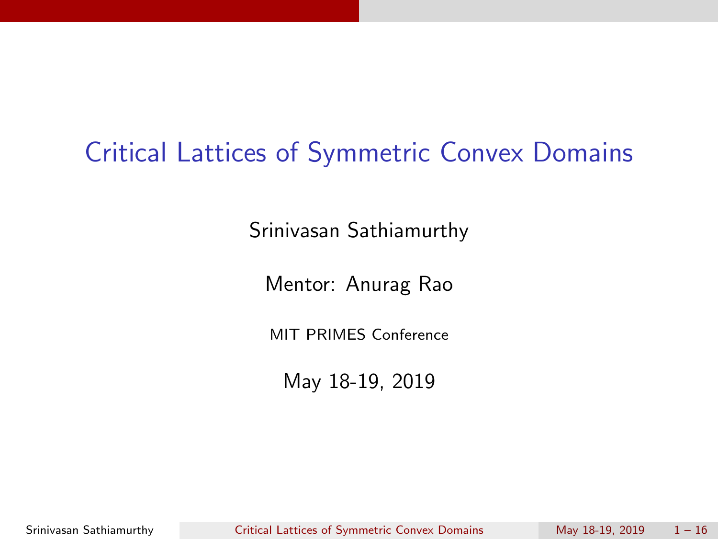# Critical Lattices of Symmetric Convex Domains

Srinivasan Sathiamurthy

Mentor: Anurag Rao

MIT PRIMES Conference

May 18-19, 2019

Srinivasan Sathiamurthy Critical Lattices of Symmetric Convex Domains May 18-19, 2019 1 - 16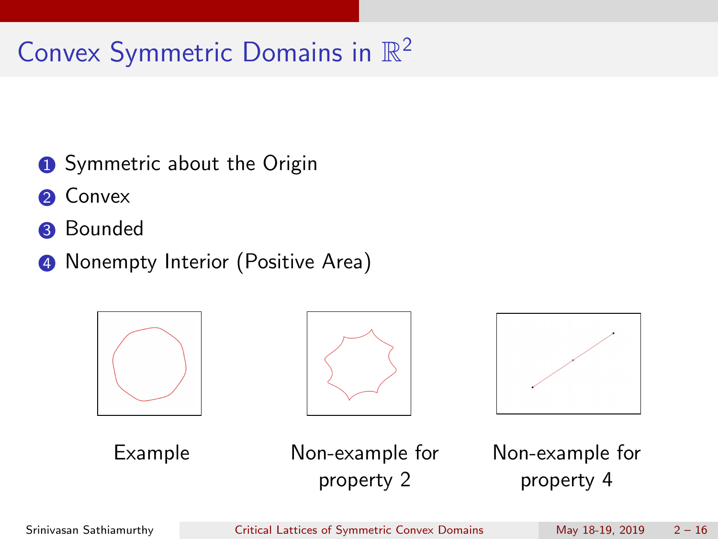# Convex Symmetric Domains in  $\mathbb{R}^2$

- **1** Symmetric about the Origin
- **2** Convex
- **3** Bounded
- 4 Nonempty Interior (Positive Area)







Example Non-example for property 2

Non-example for property 4

Srinivasan Sathiamurthy Critical Lattices of Symmetric Convex Domains May 18-19, 2019 2 – 16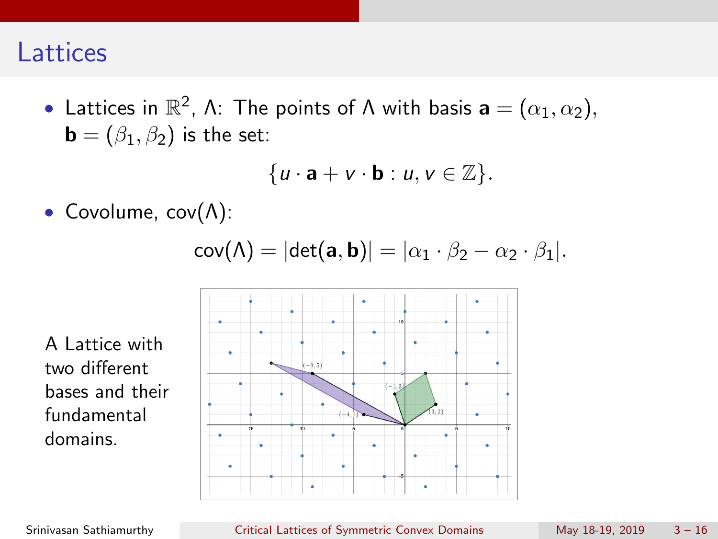## **Lattices**

• Lattices in  $\mathbb{R}^2$ ,  $\Lambda$ : The points of  $\Lambda$  with basis  $\mathbf{a} = (\alpha_1, \alpha_2)$ ,  $\mathbf{b} = (\beta_1, \beta_2)$  is the set:

$$
\{u\cdot \mathbf{a}+v\cdot \mathbf{b}: u,v\in\mathbb{Z}\}.
$$

• Covolume, cov(Λ):

$$
cov(\Lambda) = |det(a, b)| = |\alpha_1 \cdot \beta_2 - \alpha_2 \cdot \beta_1|.
$$

A Lattice with two different bases and their fundamental domains.

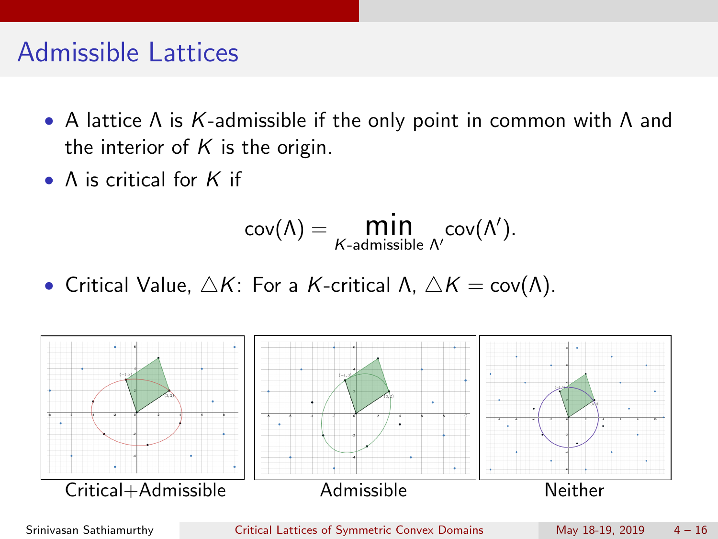## Admissible Lattices

- A lattice Λ is K-admissible if the only point in common with Λ and the interior of  $K$  is the origin.
- A is critical for K if

$$
\mathsf{cov}(\Lambda) = \underset{\text{$K$-admissible}}{\text{min}} \, \underset{\Lambda'}{\text{cov}(\Lambda')}.
$$

• Critical Value,  $\triangle K$ : For a K-critical Λ,  $\triangle K = \text{cov}(\Lambda)$ .



Srinivasan Sathiamurthy Critical Lattices of Symmetric Convex Domains May 18-19, 2019 4 – 16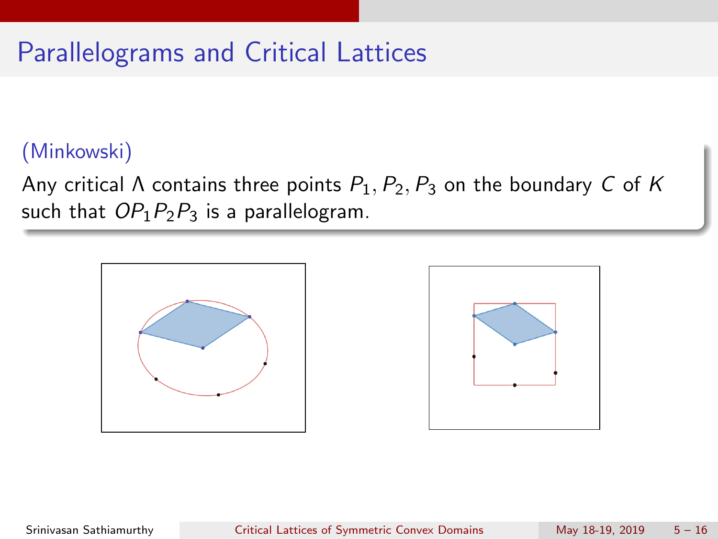# Parallelograms and Critical Lattices

### (Minkowski)

Any critical  $\Lambda$  contains three points  $P_1, P_2, P_3$  on the boundary C of K such that  $OP_1P_2P_3$  is a parallelogram.

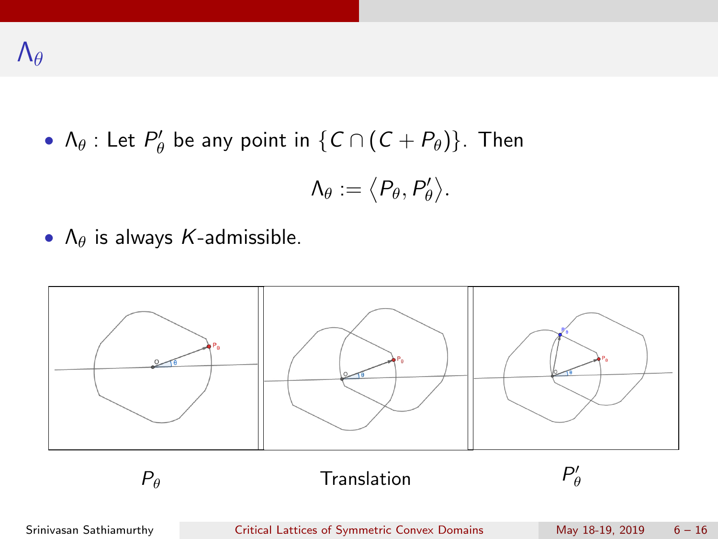•  $\Lambda_{\theta}$  : Let  $P'_{\theta}$  be any point in  $\{C \cap (C + P_{\theta})\}$ . Then

$$
\Lambda_{\theta}:=\big\langle P_{\theta},P'_{\theta}\big\rangle.
$$

•  $\Lambda_{\theta}$  is always K-admissible.



Srinivasan Sathiamurthy Critical Lattices of Symmetric Convex Domains May 18-19, 2019 6 - 16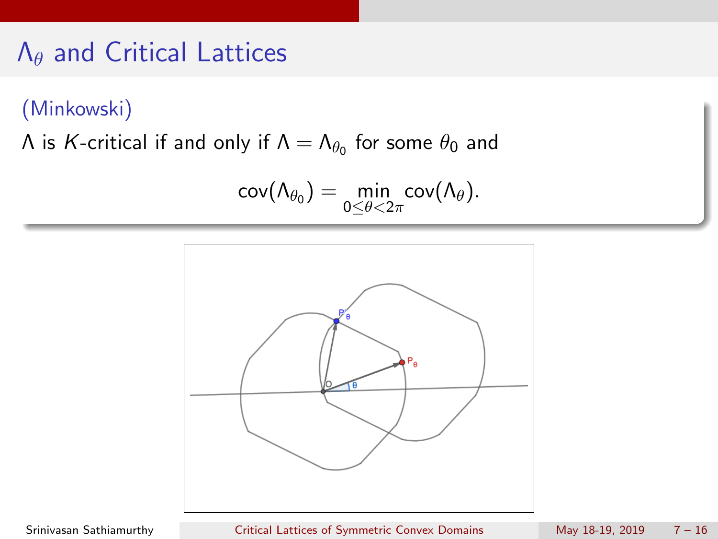# Λ<sup>θ</sup> and Critical Lattices

#### (Minkowski)

Λ is  $\kappa$ -critical if and only if  $\Lambda=\Lambda_{\theta_0}$  for some  $\theta_0$  and

$$
\mathsf{cov}(\Lambda_{\theta_0}) = \min_{0 \leq \theta < 2\pi} \mathsf{cov}(\Lambda_\theta).
$$



Srinivasan Sathiamurthy Critical Lattices of Symmetric Convex Domains May 18-19, 2019 7 - 16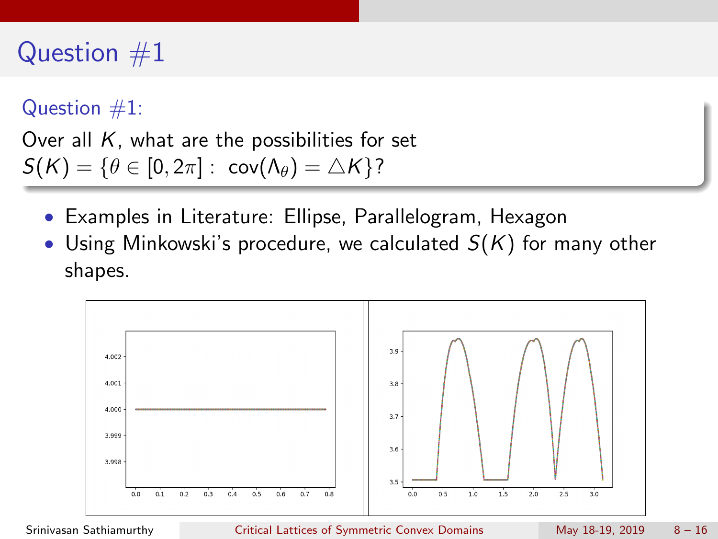# Question  $#1$

Question  $#1$ :

Over all  $K$ , what are the possibilities for set  $S(K) = \{ \theta \in [0, 2\pi] : cov(\Lambda_{\theta}) = \Delta K \}$ ?

- Examples in Literature: Ellipse, Parallelogram, Hexagon
- Using Minkowski's procedure, we calculated  $S(K)$  for many other shapes.



Srinivasan Sathiamurthy Critical Lattices of Symmetric Convex Domains May 18-19, 2019 8 – 16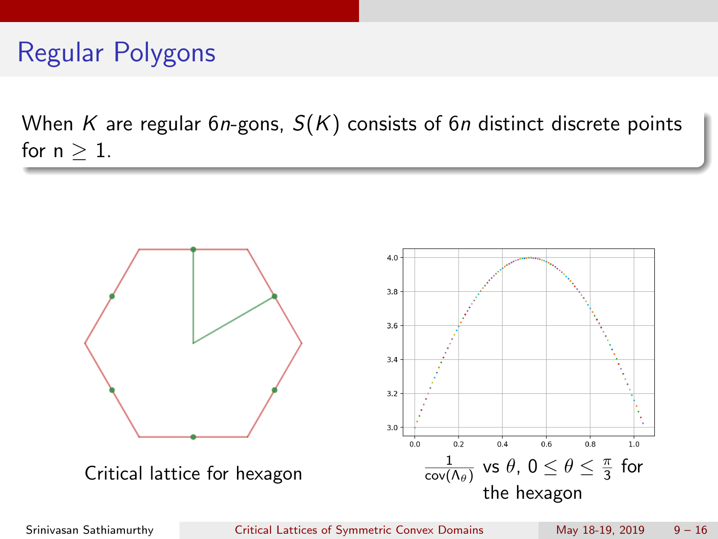# Regular Polygons

When K are regular 6n-gons,  $S(K)$  consists of 6n distinct discrete points for  $n > 1$ .



Srinivasan Sathiamurthy Critical Lattices of Symmetric Convex Domains May 18-19, 2019 9 – 16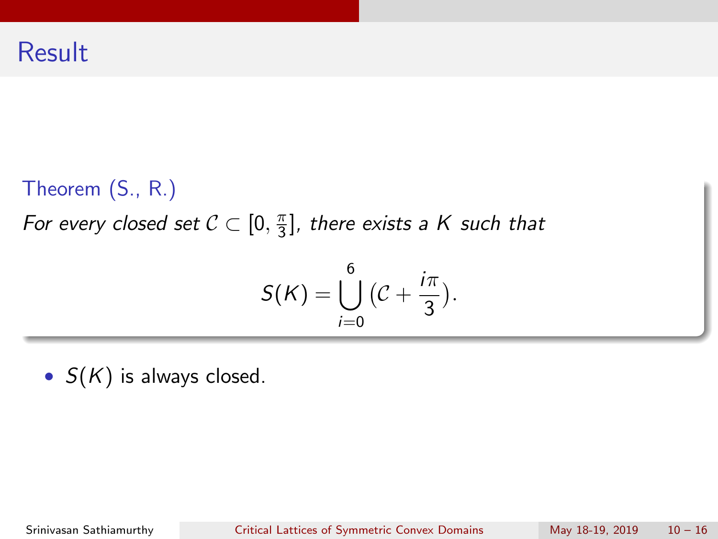### Theorem (S., R.)

For every closed set  $C \subset [0, \frac{\pi}{3}]$  $\frac{\pi}{3}$ ], there exists a K such that

$$
S(K)=\bigcup_{i=0}^6\big(C+\frac{i\pi}{3}\big).
$$

•  $S(K)$  is always closed.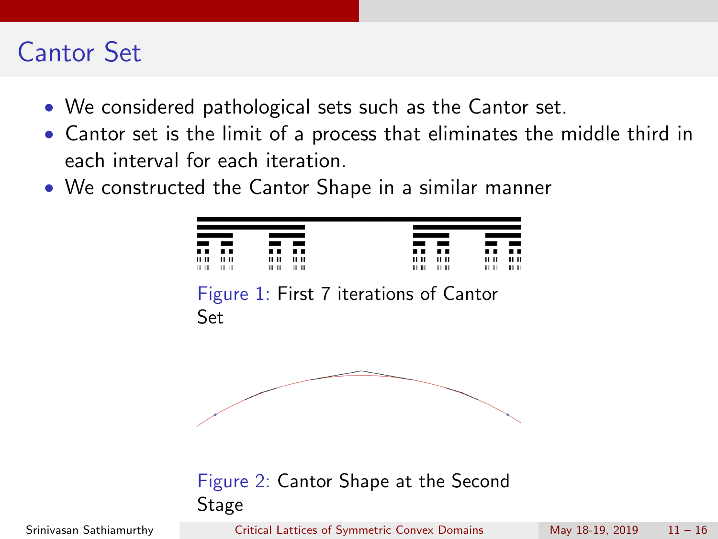# Cantor Set

- We considered pathological sets such as the Cantor set.
- Cantor set is the limit of a process that eliminates the middle third in each interval for each iteration.
- We constructed the Cantor Shape in a similar manner

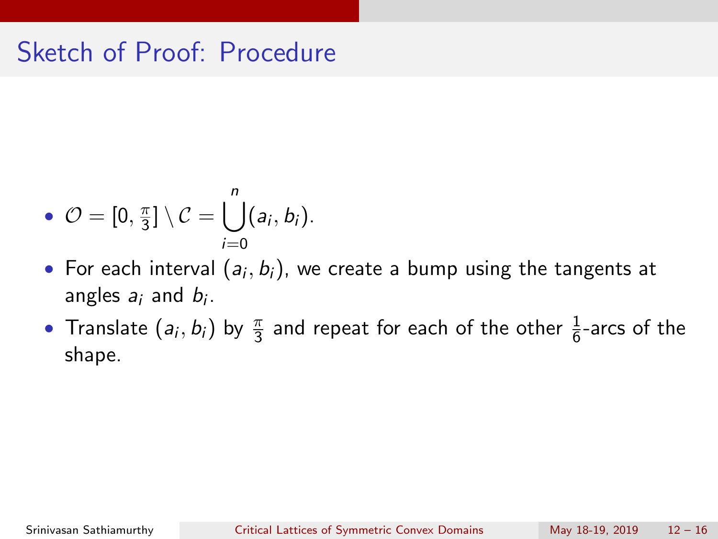# Sketch of Proof: Procedure

• 
$$
\mathcal{O} = [0, \frac{\pi}{3}] \setminus \mathcal{C} = \bigcup_{i=0}^{n} (a_i, b_i).
$$

- $\bullet\,$  For each interval  $(a_i,b_i),$  we create a bump using the tangents at angles  $a_i$  and  $b_i$ .
- Translate  $(a_i, b_i)$  by  $\frac{\pi}{3}$  and repeat for each of the other  $\frac{1}{6}$ -arcs of the shape.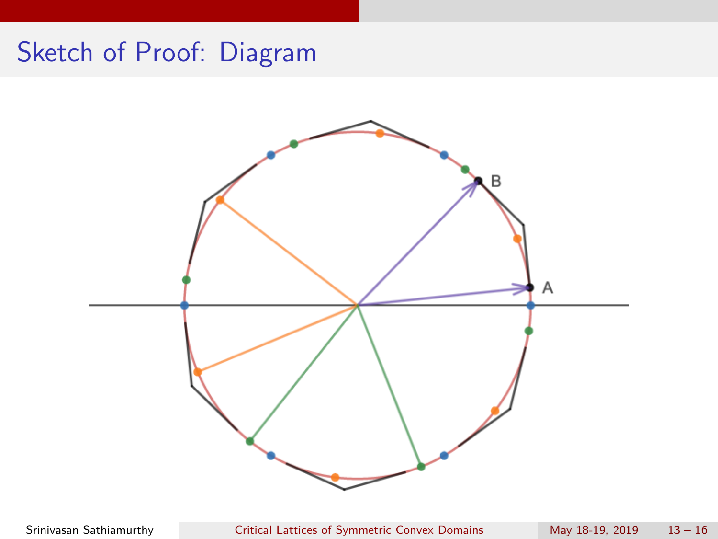# Sketch of Proof: Diagram



Srinivasan Sathiamurthy Critical Lattices of Symmetric Convex Domains May 18-19, 2019 13 – 16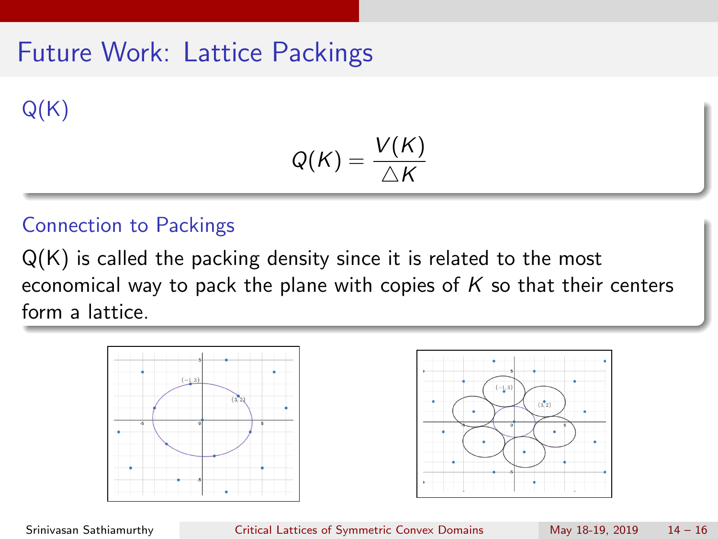# Future Work: Lattice Packings

 $Q(K)$ 

$$
Q(K)=\frac{V(K)}{\triangle K}
$$

### Connection to Packings

Q(K) is called the packing density since it is related to the most economical way to pack the plane with copies of  $K$  so that their centers form a lattice.





Srinivasan Sathiamurthy Critical Lattices of Symmetric Convex Domains May 18-19, 2019 14 – 16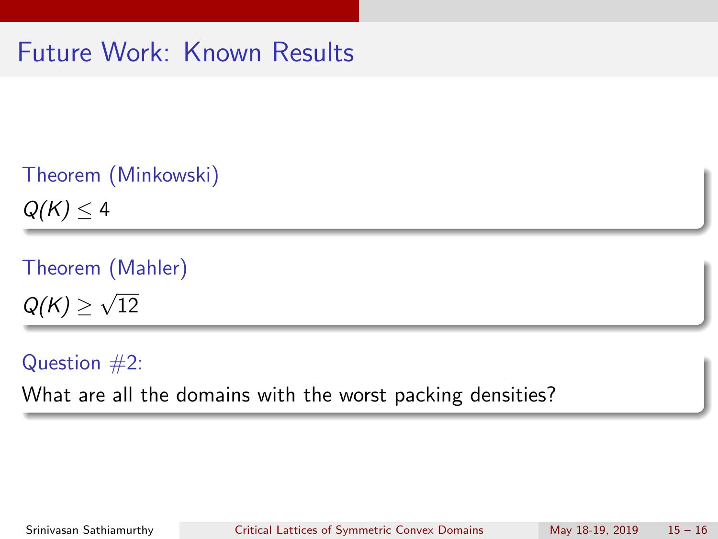# Future Work: Known Results

```
Theorem (Minkowski)
Q(K) \leq 4
```
Theorem (Mahler)  $Q(K) \geq$ √ 12

Question  $#2$ : What are all the domains with the worst packing densities?

Srinivasan Sathiamurthy Critical Lattices of Symmetric Convex Domains May 18-19, 2019 15 – 16